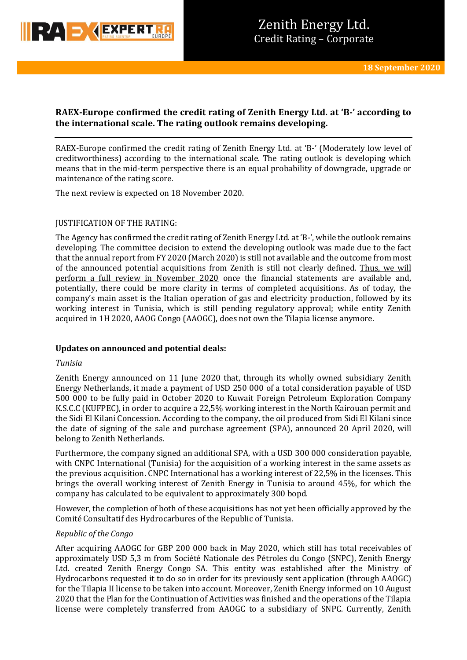

# **RAEX-Europe confirmed the credit rating of Zenith Energy Ltd. at 'B-' according to the international scale. The rating outlook remains developing.**

RAEX-Europe confirmed the credit rating of Zenith Energy Ltd. at 'B-' (Moderately low level of creditworthiness) according to the international scale. The rating outlook is developing which means that in the mid-term perspective there is an equal probability of downgrade, upgrade or maintenance of the rating score.

The next review is expected on 18 November 2020.

# JUSTIFICATION OF THE RATING:

The Agency has confirmed the credit rating of Zenith Energy Ltd. at 'B-', while the outlook remains developing. The committee decision to extend the developing outlook was made due to the fact that the annual report from FY 2020 (March 2020) is still not available and the outcome from most of the announced potential acquisitions from Zenith is still not clearly defined. Thus, we will perform a full review in November 2020 once the financial statements are available and, potentially, there could be more clarity in terms of completed acquisitions. As of today, the company's main asset is the Italian operation of gas and electricity production, followed by its working interest in Tunisia, which is still pending regulatory approval; while entity Zenith acquired in 1H 2020, AAOG Congo (AAOGC), does not own the Tilapia license anymore.

### **Updates on announced and potential deals:**

### *Tunisia*

Zenith Energy announced on 11 June 2020 that, through its wholly owned subsidiary Zenith Energy Netherlands, it made a payment of USD 250 000 of a total consideration payable of USD 500 000 to be fully paid in October 2020 to Kuwait Foreign Petroleum Exploration Company K.S.C.C (KUFPEC), in order to acquire a 22,5% working interest in the North Kairouan permit and the Sidi El Kilani Concession. According to the company, the oil produced from Sidi El Kilani since the date of signing of the sale and purchase agreement (SPA), announced 20 April 2020, will belong to Zenith Netherlands.

Furthermore, the company signed an additional SPA, with a USD 300 000 consideration payable, with CNPC International (Tunisia) for the acquisition of a working interest in the same assets as the previous acquisition. CNPC International has a working interest of 22,5% in the licenses. This brings the overall working interest of Zenith Energy in Tunisia to around 45%, for which the company has calculated to be equivalent to approximately 300 bopd.

However, the completion of both of these acquisitions has not yet been officially approved by the Comité Consultatif des Hydrocarbures of the Republic of Tunisia.

### *Republic of the Congo*

After acquiring AAOGC for GBP 200 000 back in May 2020, which still has total receivables of approximately USD 5,3 m from Société Nationale des Pétroles du Congo (SNPC), Zenith Energy Ltd. created Zenith Energy Congo SA. This entity was established after the Ministry of Hydrocarbons requested it to do so in order for its previously sent application (through AAOGC) for the Tilapia II license to be taken into account. Moreover, Zenith Energy informed on 10 August 2020 that the Plan for the Continuation of Activities was finished and the operations of the Tilapia license were completely transferred from AAOGC to a subsidiary of SNPC. Currently, Zenith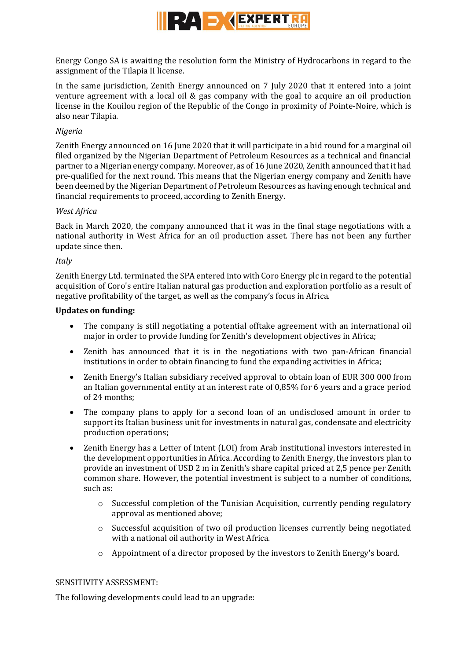

Energy Congo SA is awaiting the resolution form the Ministry of Hydrocarbons in regard to the assignment of the Tilapia II license.

In the same jurisdiction, Zenith Energy announced on 7 July 2020 that it entered into a joint venture agreement with a local oil & gas company with the goal to acquire an oil production license in the Kouilou region of the Republic of the Congo in proximity of Pointe-Noire, which is also near Tilapia.

# *Nigeria*

Zenith Energy announced on 16 June 2020 that it will participate in a bid round for a marginal oil filed organized by the Nigerian Department of Petroleum Resources as a technical and financial partner to a Nigerian energy company. Moreover, as of 16 June 2020, Zenith announced that it had pre-qualified for the next round. This means that the Nigerian energy company and Zenith have been deemed by the Nigerian Department of Petroleum Resources as having enough technical and financial requirements to proceed, according to Zenith Energy.

# *West Africa*

Back in March 2020, the company announced that it was in the final stage negotiations with a national authority in West Africa for an oil production asset. There has not been any further update since then.

# *Italy*

Zenith Energy Ltd. terminated the SPA entered into with Coro Energy plc in regard to the potential acquisition of Coro's entire Italian natural gas production and exploration portfolio as a result of negative profitability of the target, as well as the company's focus in Africa.

# **Updates on funding:**

- The company is still negotiating a potential offtake agreement with an international oil major in order to provide funding for Zenith's development objectives in Africa;
- Zenith has announced that it is in the negotiations with two pan-African financial institutions in order to obtain financing to fund the expanding activities in Africa;
- Zenith Energy's Italian subsidiary received approval to obtain loan of EUR 300 000 from an Italian governmental entity at an interest rate of 0,85% for 6 years and a grace period of 24 months;
- The company plans to apply for a second loan of an undisclosed amount in order to support its Italian business unit for investments in natural gas, condensate and electricity production operations;
- Zenith Energy has a Letter of Intent (LOI) from Arab institutional investors interested in the development opportunities in Africa. According to Zenith Energy, the investors plan to provide an investment of USD 2 m in Zenith's share capital priced at 2,5 pence per Zenith common share. However, the potential investment is subject to a number of conditions, such as:
	- $\circ$  Successful completion of the Tunisian Acquisition, currently pending regulatory approval as mentioned above;
	- o Successful acquisition of two oil production licenses currently being negotiated with a national oil authority in West Africa.
	- o Appointment of a director proposed by the investors to Zenith Energy's board.

### SENSITIVITY ASSESSMENT:

The following developments could lead to an upgrade: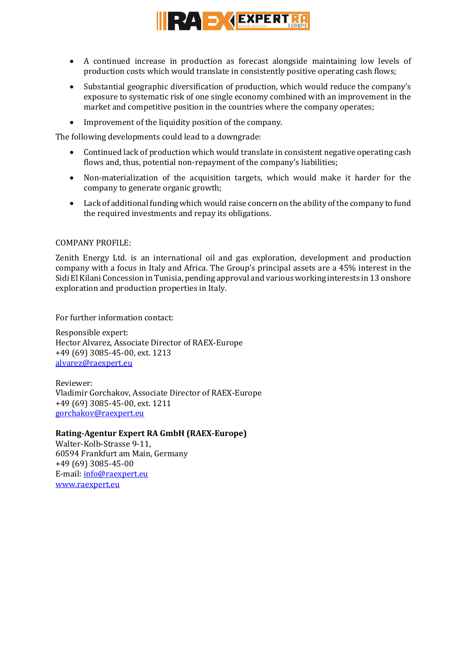

- A continued increase in production as forecast alongside maintaining low levels of production costs which would translate in consistently positive operating cash flows;
- Substantial geographic diversification of production, which would reduce the company's exposure to systematic risk of one single economy combined with an improvement in the market and competitive position in the countries where the company operates;
- Improvement of the liquidity position of the company.

The following developments could lead to a downgrade:

- Continued lack of production which would translate in consistent negative operating cash flows and, thus, potential non-repayment of the company's liabilities;
- Non-materialization of the acquisition targets, which would make it harder for the company to generate organic growth;
- Lack of additional funding which would raise concern on the ability of the company to fund the required investments and repay its obligations.

### COMPANY PROFILE:

Zenith Energy Ltd. is an international oil and gas exploration, development and production company with a focus in Italy and Africa. The Group's principal assets are a 45% interest in the Sidi El Kilani Concession in Tunisia, pending approval and various working interests in 13 onshore exploration and production properties in Italy.

For further information contact:

Responsible expert: Hector Alvarez, Associate Director of RAEX-Europe +49 (69) 3085-45-00, ext. 1213 [alvarez@raexpert.eu](mailto:alvarez@raexpert.eu)

Reviewer: Vladimir Gorchakov, Associate Director of RAEX-Europe +49 (69) 3085-45-00, ext. 1211 [gorchakov@raexpert.eu](mailto:gorchakov@raexpert.eu)

### **Rating-Agentur Expert RA GmbH (RAEX-Europe)**

Walter-Kolb-Strasse 9-11, 60594 Frankfurt am Main, Germany +49 (69) 3085-45-00 E-mail[: info@raexpert.eu](mailto:info@raexpert.eu) [www.raexpert.eu](http://raexpert.eu/)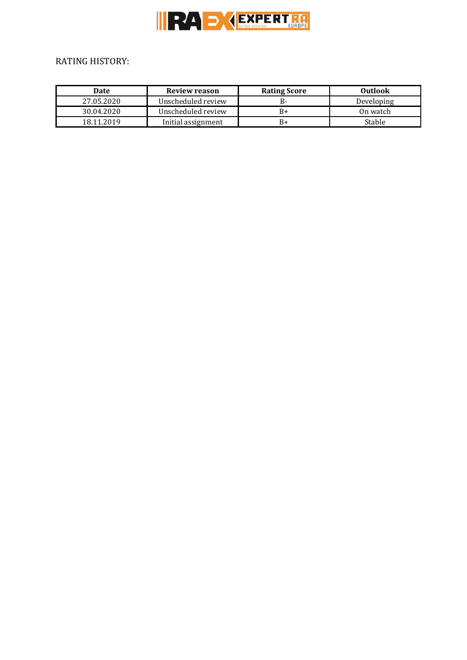

# RATING HISTORY:

| <b>Date</b> | <b>Review reason</b> | <b>Rating Score</b> | Outlook    |
|-------------|----------------------|---------------------|------------|
| 27.05.2020  | Unscheduled review   | в-                  | Developing |
| 30.04.2020  | Unscheduled review   | B+                  | On watch   |
| 18.11.2019  | Initial assignment   | В+                  | Stable     |